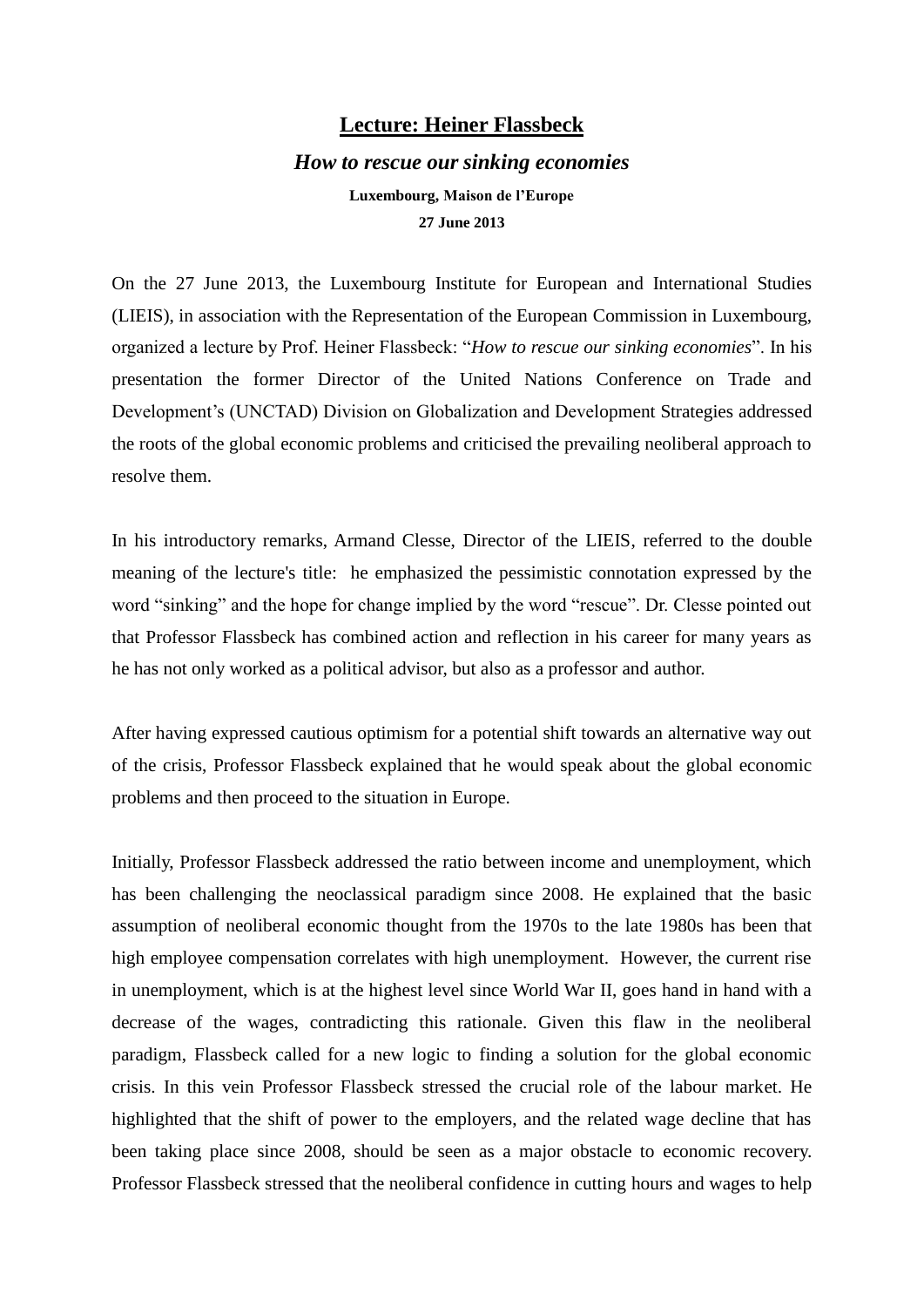## **Lecture: Heiner Flassbeck**

## *How to rescue our sinking economies* **Luxembourg, Maison de l'Europe 27 June 2013**

On the 27 June 2013, the Luxembourg Institute for European and International Studies (LIEIS), in association with the Representation of the European Commission in Luxembourg, organized a lecture by Prof. Heiner Flassbeck: "*How to rescue our sinking economies*". In his presentation the former Director of the United Nations Conference on Trade and Development's (UNCTAD) Division on Globalization and Development Strategies addressed the roots of the global economic problems and criticised the prevailing neoliberal approach to resolve them.

In his introductory remarks, Armand Clesse, Director of the LIEIS, referred to the double meaning of the lecture's title: he emphasized the pessimistic connotation expressed by the word "sinking" and the hope for change implied by the word "rescue". Dr. Clesse pointed out that Professor Flassbeck has combined action and reflection in his career for many years as he has not only worked as a political advisor, but also as a professor and author.

After having expressed cautious optimism for a potential shift towards an alternative way out of the crisis, Professor Flassbeck explained that he would speak about the global economic problems and then proceed to the situation in Europe.

Initially, Professor Flassbeck addressed the ratio between income and unemployment, which has been challenging the neoclassical paradigm since 2008. He explained that the basic assumption of neoliberal economic thought from the 1970s to the late 1980s has been that high employee compensation correlates with high unemployment. However, the current rise in unemployment, which is at the highest level since World War II, goes hand in hand with a decrease of the wages, contradicting this rationale. Given this flaw in the neoliberal paradigm, Flassbeck called for a new logic to finding a solution for the global economic crisis. In this vein Professor Flassbeck stressed the crucial role of the labour market. He highlighted that the shift of power to the employers, and the related wage decline that has been taking place since 2008, should be seen as a major obstacle to economic recovery. Professor Flassbeck stressed that the neoliberal confidence in cutting hours and wages to help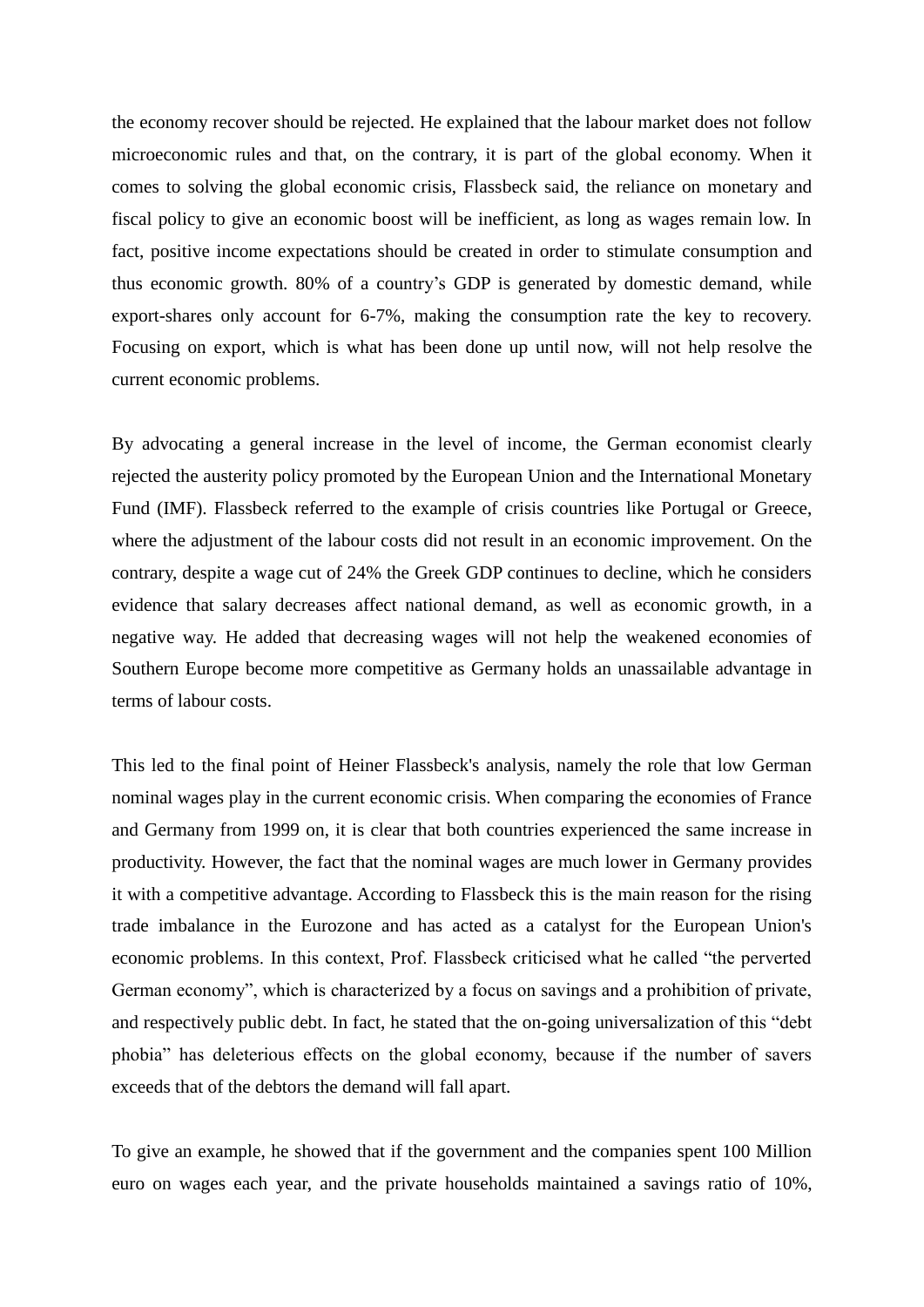the economy recover should be rejected. He explained that the labour market does not follow microeconomic rules and that, on the contrary, it is part of the global economy. When it comes to solving the global economic crisis, Flassbeck said, the reliance on monetary and fiscal policy to give an economic boost will be inefficient, as long as wages remain low. In fact, positive income expectations should be created in order to stimulate consumption and thus economic growth. 80% of a country's GDP is generated by domestic demand, while export-shares only account for 6-7%, making the consumption rate the key to recovery. Focusing on export, which is what has been done up until now, will not help resolve the current economic problems.

By advocating a general increase in the level of income, the German economist clearly rejected the austerity policy promoted by the European Union and the International Monetary Fund (IMF). Flassbeck referred to the example of crisis countries like Portugal or Greece, where the adjustment of the labour costs did not result in an economic improvement. On the contrary, despite a wage cut of 24% the Greek GDP continues to decline, which he considers evidence that salary decreases affect national demand, as well as economic growth, in a negative way. He added that decreasing wages will not help the weakened economies of Southern Europe become more competitive as Germany holds an unassailable advantage in terms of labour costs.

This led to the final point of Heiner Flassbeck's analysis, namely the role that low German nominal wages play in the current economic crisis. When comparing the economies of France and Germany from 1999 on, it is clear that both countries experienced the same increase in productivity. However, the fact that the nominal wages are much lower in Germany provides it with a competitive advantage. According to Flassbeck this is the main reason for the rising trade imbalance in the Eurozone and has acted as a catalyst for the European Union's economic problems. In this context, Prof. Flassbeck criticised what he called "the perverted German economy", which is characterized by a focus on savings and a prohibition of private, and respectively public debt. In fact, he stated that the on-going universalization of this "debt phobia" has deleterious effects on the global economy, because if the number of savers exceeds that of the debtors the demand will fall apart.

To give an example, he showed that if the government and the companies spent 100 Million euro on wages each year, and the private households maintained a savings ratio of 10%,